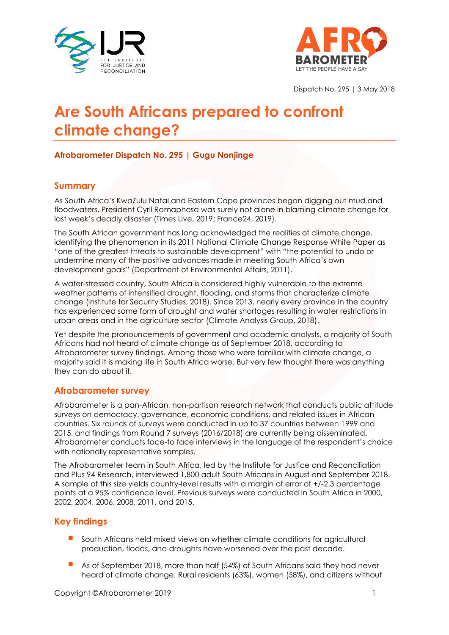



Dispatch No. 295 | 3 May 2018

# **Are South Africans prepared to confront climate change?**

## **Afrobarometer Dispatch No. 295 | Gugu Nonjinge**

## **Summary**

As South Africa's KwaZulu Natal and Eastern Cape provinces began digging out mud and floodwaters, President Cyril Ramaphosa was surely not alone in blaming climate change for last week's deadly disaster (Times Live, 2019; France24, 2019).

The South African government has long acknowledged the realities of climate change, identifying the phenomenon in its 2011 National Climate Change Response White Paper as "one of the greatest threats to sustainable development" with "the potential to undo or undermine many of the positive advances made in meeting South Africa's own development goals" (Department of Environmental Affairs, 2011).

A water-stressed country, South Africa is considered highly vulnerable to the extreme weather patterns of intensified drought, flooding, and storms that characterize climate change (Institute for Security Studies, 2018). Since 2013, nearly every province in the country has experienced some form of drought and water shortages resulting in water restrictions in urban areas and in the agriculture sector (Climate Analysis Group, 2018).

Yet despite the pronouncements of government and academic analysts, a majority of South Africans had not heard of climate change as of September 2018, according to Afrobarometer survey findings. Among those who were familiar with climate change, a majority said it is making life in South Africa worse. But very few thought there was anything they can do about it.

#### **Afrobarometer survey**

Afrobarometer is a pan-African, non-partisan research network that conducts public attitude surveys on democracy, governance, economic conditions, and related issues in African countries. Six rounds of surveys were conducted in up to 37 countries between 1999 and 2015, and findings from Round 7 surveys (2016/2018) are currently being disseminated. Afrobarometer conducts face-to face interviews in the language of the respondent's choice with nationally representative samples.

The Afrobarometer team in South Africa, led by the Institute for Justice and Reconciliation and Plus 94 Research, interviewed 1,800 adult South Africans in August and September 2018. A sample of this size yields country-level results with a margin of error of +/-2.3 percentage points at a 95% confidence level. Previous surveys were conducted in South Africa in 2000, 2002, 2004, 2006, 2008, 2011, and 2015.

## **Key findings**

- South Africans held mixed views on whether climate conditions for agricultural production, floods, and droughts have worsened over the past decade.
- As of September 2018, more than half (54%) of South Africans said they had never heard of climate change. Rural residents (63%), women (58%), and citizens without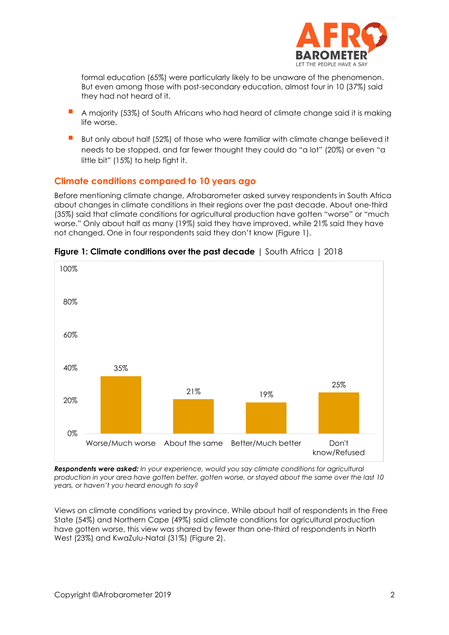

formal education (65%) were particularly likely to be unaware of the phenomenon. But even among those with post-secondary education, almost four in 10 (37%) said they had not heard of it.

- A majority (53%) of South Africans who had heard of climate change said it is making life worse.
- But only about half (52%) of those who were familiar with climate change believed it needs to be stopped, and far fewer thought they could do "a lot" (20%) or even "a little bit" (15%) to help fight it.

## **Climate conditions compared to 10 years ago**

Before mentioning climate change, Afrobarometer asked survey respondents in South Africa about changes in climate conditions in their regions over the past decade. About one-third (35%) said that climate conditions for agricultural production have gotten "worse" or "much worse." Only about half as many (19%) said they have improved, while 21% said they have not changed. One in four respondents said they don't know (Figure 1).



**Figure 1: Climate conditions over the past decade** | South Africa | 2018

*Respondents were asked: In your experience, would you say climate conditions for agricultural production in your area have gotten better, gotten worse, or stayed about the same over the last 10 years, or haven't you heard enough to say?*

Views on climate conditions varied by province. While about half of respondents in the Free State (54%) and Northern Cape (49%) said climate conditions for agricultural production have gotten worse, this view was shared by fewer than one-third of respondents in North West (23%) and KwaZulu-Natal (31%) (Figure 2).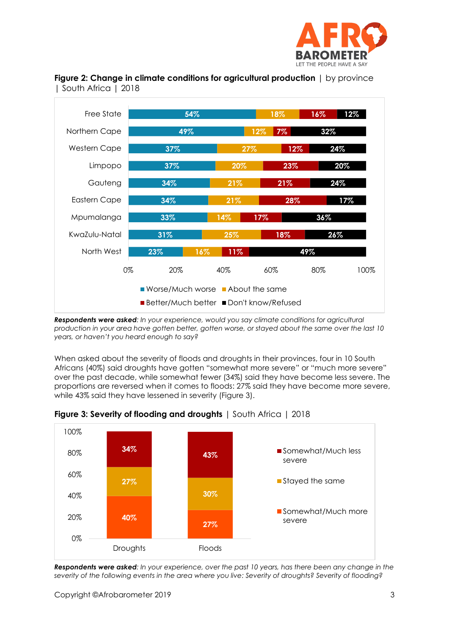



**Figure 2: Change in climate conditions for agricultural production** | by province | South Africa | 2018

*Respondents were asked: In your experience, would you say climate conditions for agricultural production in your area have gotten better, gotten worse, or stayed about the same over the last 10 years, or haven't you heard enough to say?*

When asked about the severity of floods and droughts in their provinces, four in 10 South Africans (40%) said droughts have gotten "somewhat more severe" or "much more severe" over the past decade, while somewhat fewer (34%) said they have become less severe. The proportions are reversed when it comes to floods: 27% said they have become more severe, while 43% said they have lessened in severity (Figure 3).



**Figure 3: Severity of flooding and droughts** | South Africa | 2018

*Respondents were asked: In your experience, over the past 10 years, has there been any change in the severity of the following events in the area where you live: Severity of droughts? Severity of flooding?*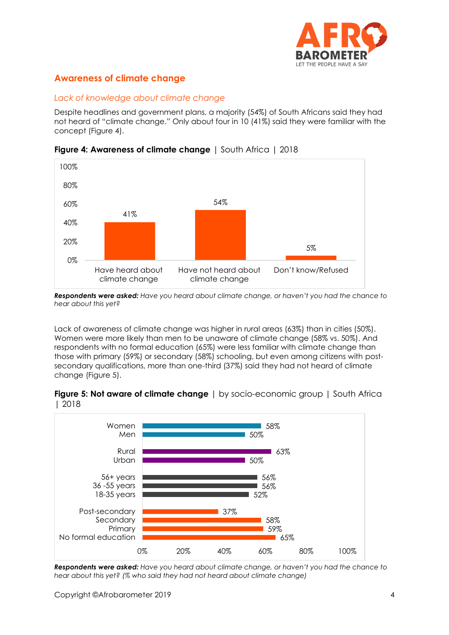

## **Awareness of climate change**

#### *Lack of knowledge about climate change*

Despite headlines and government plans, a majority (54%) of South Africans said they had not heard of "climate change." Only about four in 10 (41%) said they were familiar with the concept (Figure 4).



**Figure 4: Awareness of climate change** | South Africa | 2018

*Respondents were asked: Have you heard about climate change, or haven't you had the chance to hear about this yet?*

Lack of awareness of climate change was higher in rural areas (63%) than in cities (50%). Women were more likely than men to be unaware of climate change (58% vs. 50%). And respondents with no formal education (65%) were less familiar with climate change than those with primary (59%) or secondary (58%) schooling, but even among citizens with postsecondary qualifications, more than one-third (37%) said they had not heard of climate change (Figure 5).

**Figure 5: Not aware of climate change** | by socio-economic group | South Africa | 2018



*Respondents were asked: Have you heard about climate change, or haven't you had the chance to hear about this yet? (% who said they had not heard about climate change)*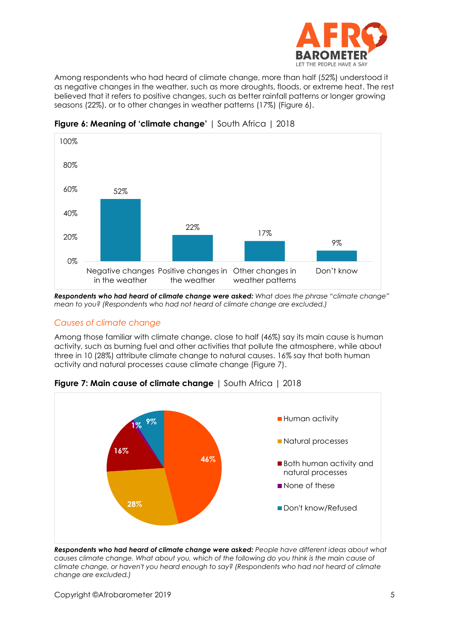

Among respondents who had heard of climate change, more than half (52%) understood it as negative changes in the weather, such as more droughts, floods, or extreme heat. The rest believed that it refers to positive changes, such as better rainfall patterns or longer growing seasons (22%), or to other changes in weather patterns (17%) (Figure 6).



**Figure 6: Meaning of 'climate change'** | South Africa | 2018

*Respondents who had heard of climate change were asked: What does the phrase "climate change" mean to you? (Respondents who had not heard of climate change are excluded.)*

## *Causes of climate change*

Among those familiar with climate change, close to half (46%) say its main cause is human activity, such as burning fuel and other activities that pollute the atmosphere, while about three in 10 (28%) attribute climate change to natural causes. 16% say that both human activity and natural processes cause climate change (Figure 7).



**Figure 7: Main cause of climate change** | South Africa | 2018

*Respondents who had heard of climate change were asked: People have different ideas about what causes climate change. What about you, which of the following do you think is the main cause of climate change, or haven't you heard enough to say? (Respondents who had not heard of climate change are excluded.)*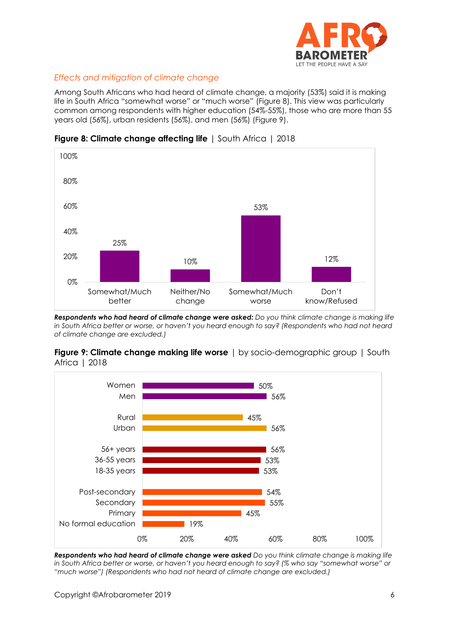

## *Effects and mitigation of climate change*

Among South Africans who had heard of climate change, a majority (53%) said it is making life in South Africa "somewhat worse" or "much worse" (Figure 8). This view was particularly common among respondents with higher education (54%-55%), those who are more than 55 years old (56%), urban residents (56%), and men (56%) (Figure 9).



**Figure 8: Climate change affecting life** | South Africa | 2018

*Respondents who had heard of climate change were asked: Do you think climate change is making life in South Africa better or worse, or haven't you heard enough to say? (Respondents who had not heard of climate change are excluded.)*





*Respondents who had heard of climate change were asked Do you think climate change is making life in South Africa better or worse, or haven't you heard enough to say? (% who say "somewhat worse" or "much worse") (Respondents who had not heard of climate change are excluded.)*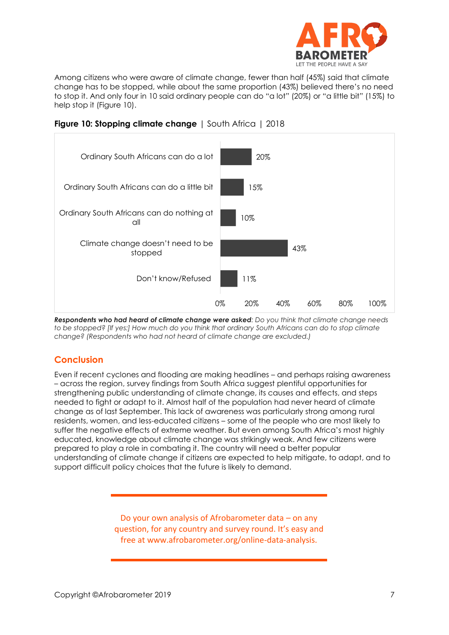

Among citizens who were aware of climate change, fewer than half (45%) said that climate change has to be stopped, while about the same proportion (43%) believed there's no need to stop it. And only four in 10 said ordinary people can do "a lot" (20%) or "a little bit" (15%) to help stop it (Figure 10).



**Figure 10: Stopping climate change** | South Africa | 2018

*Respondents who had heard of climate change were asked: Do you think that climate change needs to be stopped? [If yes:] How much do you think that ordinary South Africans can do to stop climate change? (Respondents who had not heard of climate change are excluded.)*

## **Conclusion**

Even if recent cyclones and flooding are making headlines – and perhaps raising awareness – across the region, survey findings from South Africa suggest plentiful opportunities for strengthening public understanding of climate change, its causes and effects, and steps needed to fight or adapt to it. Almost half of the population had never heard of climate change as of last September. This lack of awareness was particularly strong among rural residents, women, and less-educated citizens – some of the people who are most likely to suffer the negative effects of extreme weather. But even among South Africa's most highly educated, knowledge about climate change was strikingly weak. And few citizens were prepared to play a role in combating it. The country will need a better popular understanding of climate change if citizens are expected to help mitigate, to adapt, and to support difficult policy choices that the future is likely to demand.

> Do your own analysis of Afrobarometer data – on any question, for any country and survey round. It's easy and free at www.afrobarometer.org/online-data-analysis.